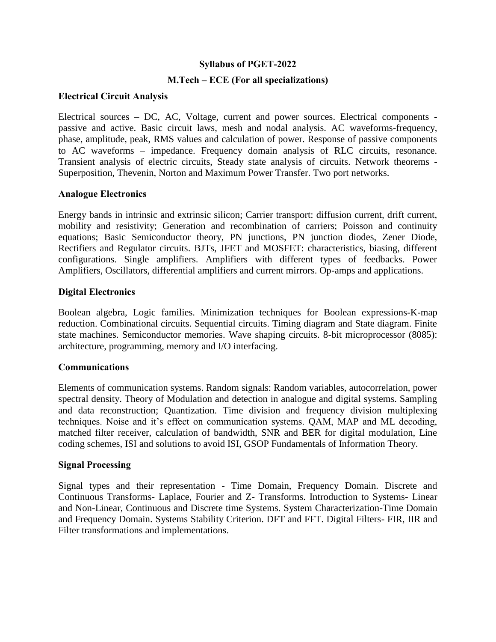## **Syllabus of PGET-2022**

# **M.Tech – ECE (For all specializations)**

### **Electrical Circuit Analysis**

Electrical sources – DC, AC, Voltage, current and power sources. Electrical components passive and active. Basic circuit laws, mesh and nodal analysis. AC waveforms-frequency, phase, amplitude, peak, RMS values and calculation of power. Response of passive components to AC waveforms – impedance. Frequency domain analysis of RLC circuits, resonance. Transient analysis of electric circuits, Steady state analysis of circuits. Network theorems - Superposition, Thevenin, Norton and Maximum Power Transfer. Two port networks.

### **Analogue Electronics**

Energy bands in intrinsic and extrinsic silicon; Carrier transport: diffusion current, drift current, mobility and resistivity; Generation and recombination of carriers; Poisson and continuity equations; Basic Semiconductor theory, PN junctions, PN junction diodes, Zener Diode, Rectifiers and Regulator circuits. BJTs, JFET and MOSFET: characteristics, biasing, different configurations. Single amplifiers. Amplifiers with different types of feedbacks. Power Amplifiers, Oscillators, differential amplifiers and current mirrors. Op-amps and applications.

# **Digital Electronics**

Boolean algebra, Logic families. Minimization techniques for Boolean expressions-K-map reduction. Combinational circuits. Sequential circuits. Timing diagram and State diagram. Finite state machines. Semiconductor memories. Wave shaping circuits. 8-bit microprocessor (8085): architecture, programming, memory and I/O interfacing.

### **Communications**

Elements of communication systems. Random signals: Random variables, autocorrelation, power spectral density. Theory of Modulation and detection in analogue and digital systems. Sampling and data reconstruction; Quantization. Time division and frequency division multiplexing techniques. Noise and it's effect on communication systems. QAM, MAP and ML decoding, matched filter receiver, calculation of bandwidth, SNR and BER for digital modulation, Line coding schemes, ISI and solutions to avoid ISI, GSOP Fundamentals of Information Theory.

### **Signal Processing**

Signal types and their representation - Time Domain, Frequency Domain. Discrete and Continuous Transforms- Laplace, Fourier and Z- Transforms. Introduction to Systems- Linear and Non-Linear, Continuous and Discrete time Systems. System Characterization-Time Domain and Frequency Domain. Systems Stability Criterion. DFT and FFT. Digital Filters- FIR, IIR and Filter transformations and implementations.